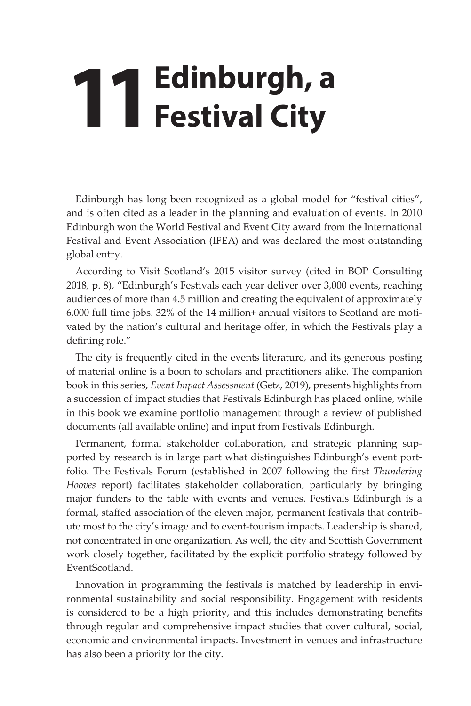## **11 Edinburgh, a**<br>**11 Festival City Festival City**

Edinburgh has long been recognized as a global model for "festival cities", and is often cited as a leader in the planning and evaluation of events. In 2010 Edinburgh won the World Festival and Event City award from the International Festival and Event Association (IFEA) and was declared the most outstanding global entry.

According to Visit Scotland's 2015 visitor survey (cited in BOP Consulting 2018, p. 8), "Edinburgh's Festivals each year deliver over 3,000 events, reaching audiences of more than 4.5 million and creating the equivalent of approximately 6,000 full time jobs. 32% of the 14 million+ annual visitors to Scotland are motivated by the nation's cultural and heritage offer, in which the Festivals play a defining role."

The city is frequently cited in the events literature, and its generous posting of material online is a boon to scholars and practitioners alike. The companion book in this series, *Event Impact Assessment* (Getz, 2019), presents highlights from a succession of impact studies that Festivals Edinburgh has placed online, while in this book we examine portfolio management through a review of published documents (all available online) and input from Festivals Edinburgh.

Permanent, formal stakeholder collaboration, and strategic planning supported by research is in large part what distinguishes Edinburgh's event portfolio. The Festivals Forum (established in 2007 following the first *Thundering Hooves* report) facilitates stakeholder collaboration, particularly by bringing major funders to the table with events and venues. Festivals Edinburgh is a formal, staffed association of the eleven major, permanent festivals that contribute most to the city's image and to event-tourism impacts. Leadership is shared, not concentrated in one organization. As well, the city and Scottish Government work closely together, facilitated by the explicit portfolio strategy followed by EventScotland.

Innovation in programming the festivals is matched by leadership in environmental sustainability and social responsibility. Engagement with residents is considered to be a high priority, and this includes demonstrating benefits through regular and comprehensive impact studies that cover cultural, social, economic and environmental impacts. Investment in venues and infrastructure has also been a priority for the city.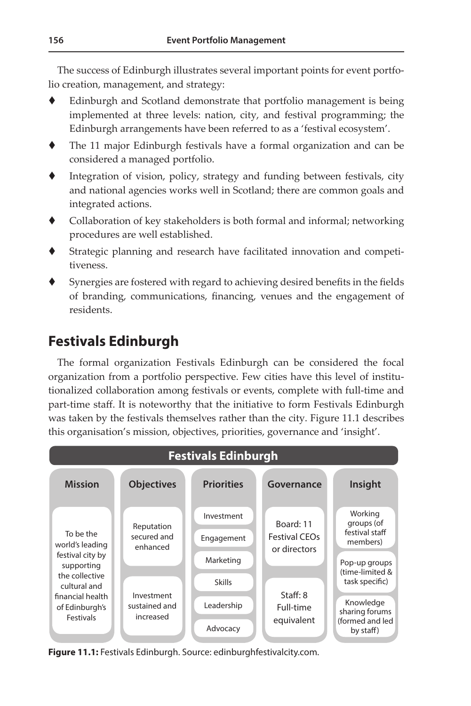The success of Edinburgh illustrates several important points for event portfolio creation, management, and strategy:

- Edinburgh and Scotland demonstrate that portfolio management is being implemented at three levels: nation, city, and festival programming; the Edinburgh arrangements have been referred to as a 'festival ecosystem'.
- The 11 major Edinburgh festivals have a formal organization and can be considered a managed portfolio.
- Integration of vision, policy, strategy and funding between festivals, city and national agencies works well in Scotland; there are common goals and integrated actions.
- Collaboration of key stakeholders is both formal and informal; networking procedures are well established.
- Strategic planning and research have facilitated innovation and competitiveness.
- Synergies are fostered with regard to achieving desired benefits in the fields of branding, communications, financing, venues and the engagement of residents.

## **Festivals Edinburgh 156 Event Portfolio Management**

The formal organization Festivals Edinburgh can be considered the focal organization from a portfolio perspective. Few cities have this level of institutionalized collaboration among festivals or events, complete with full-time and part-time staff. It is noteworthy that the initiative to form Festivals Edinburgh was taken by the festivals themselves rather than the city. Figure 11.1 describes this organisation's mission, objectives, priorities, governance and 'insight'.



**Figure 11.1:** Festivals Edinburgh. Source: edinburghfestivalcity.com.